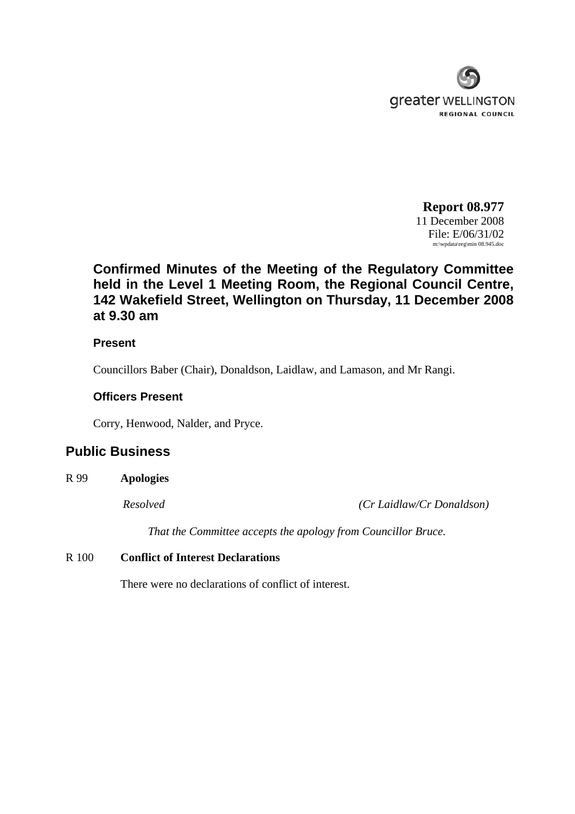

**Report 08.977** 11 December 2008 File: E/06/31/02 m:\wpdata\reg\min 08.945.doc

# **Confirmed Minutes of the Meeting of the Regulatory Committee held in the Level 1 Meeting Room, the Regional Council Centre, 142 Wakefield Street, Wellington on Thursday, 11 December 2008 at 9.30 am**

#### **Present**

Councillors Baber (Chair), Donaldson, Laidlaw, and Lamason, and Mr Rangi.

#### **Officers Present**

Corry, Henwood, Nalder, and Pryce.

## **Public Business**

R 99 **Apologies** 

*Resolved (Cr Laidlaw/Cr Donaldson)* 

*That the Committee accepts the apology from Councillor Bruce.* 

#### R 100 **Conflict of Interest Declarations**

There were no declarations of conflict of interest.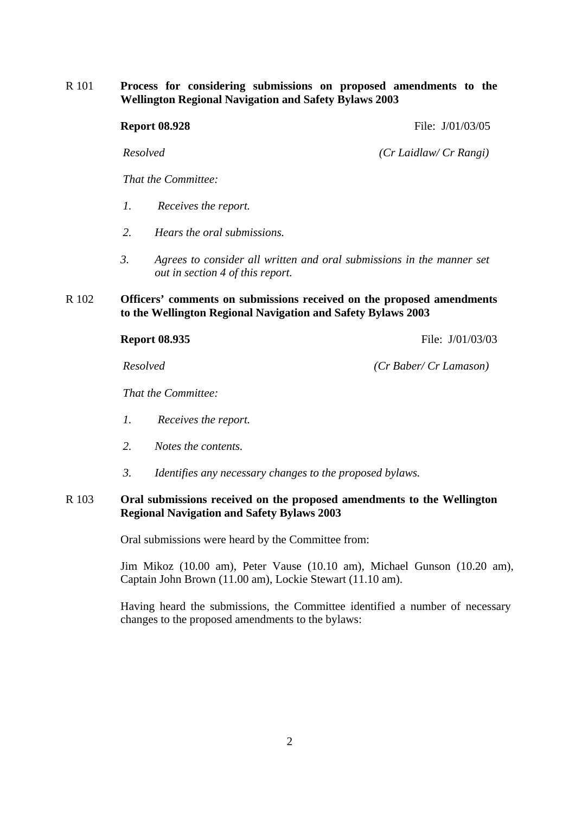R 101 **Process for considering submissions on proposed amendments to the Wellington Regional Navigation and Safety Bylaws 2003** 

> *That the Committee: 1. Receives the report. 2. Hears the oral submissions. 3. Agrees to consider all written and oral submissions in the manner set out in section 4 of this report.*

#### R 102 **Officers' comments on submissions received on the proposed amendments to the Wellington Regional Navigation and Safety Bylaws 2003**

*That the Committee:* 

- *1. Receives the report.*
- *2. Notes the contents.*
- *3. Identifies any necessary changes to the proposed bylaws.*

#### R 103 **Oral submissions received on the proposed amendments to the Wellington Regional Navigation and Safety Bylaws 2003**

Oral submissions were heard by the Committee from:

Jim Mikoz (10.00 am), Peter Vause (10.10 am), Michael Gunson (10.20 am), Captain John Brown (11.00 am), Lockie Stewart (11.10 am).

Having heard the submissions, the Committee identified a number of necessary changes to the proposed amendments to the bylaws:

*Resolved (Cr Laidlaw/ Cr Rangi)*

**Report 08.935** File:  $J/01/03/03$ 

*Resolved (Cr Baber/ Cr Lamason)*

**Report 08.928** File: J/01/03/05